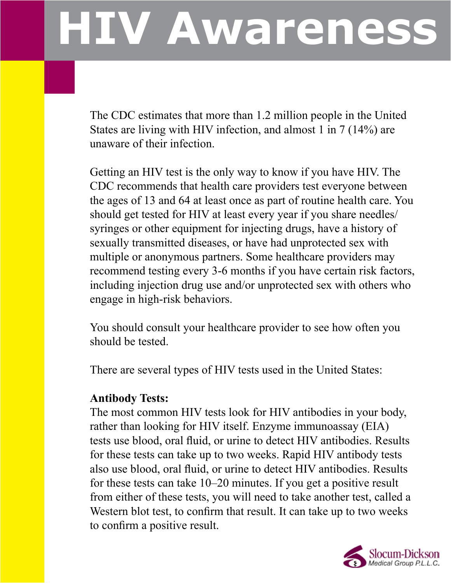# **HIV Awareness**

The CDC estimates that more than 1.2 million people in the United States are living with HIV infection, and almost 1 in 7 (14%) are unaware of their infection.

Getting an HIV test is the only way to know if you have HIV. The CDC recommends that health care providers test everyone between the ages of 13 and 64 at least once as part of routine health care. You should get tested for HIV at least every year if you share needles/ syringes or other equipment for injecting drugs, have a history of sexually transmitted diseases, or have had unprotected sex with multiple or anonymous partners. Some healthcare providers may recommend testing every 3-6 months if you have certain risk factors, including injection drug use and/or unprotected sex with others who engage in high-risk behaviors.

You should consult your healthcare provider to see how often you should be tested.

There are several types of HIV tests used in the United States:

#### **Antibody Tests:**

The most common HIV tests look for HIV antibodies in your body, rather than looking for HIV itself. Enzyme immunoassay (EIA) tests use blood, oral fluid, or urine to detect HIV antibodies. Results for these tests can take up to two weeks. Rapid HIV antibody tests also use blood, oral fluid, or urine to detect HIV antibodies. Results for these tests can take 10–20 minutes. If you get a positive result from either of these tests, you will need to take another test, called a Western blot test, to confirm that result. It can take up to two weeks to confirm a positive result.